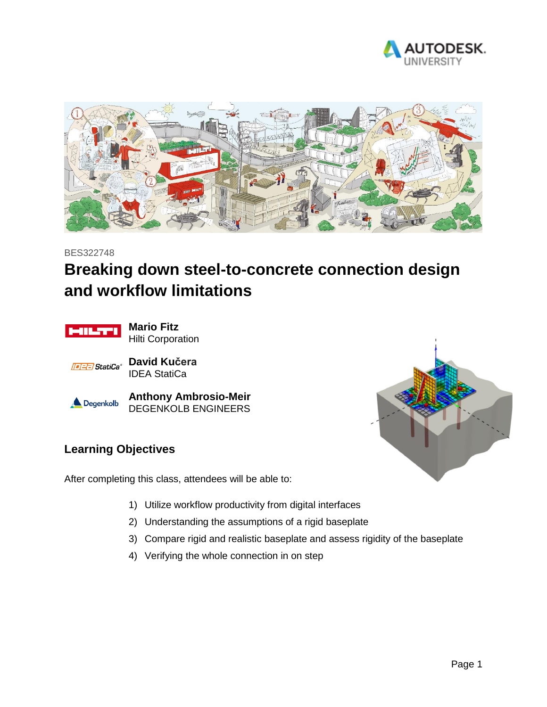



#### BES322748

## **Breaking down steel-to-concrete connection design and workflow limitations**



**Mario Fitz** Hilti Corporation



**David Kučera** IDEA StatiCa



**Anthony Ambrosio-Meir** DEGENKOLB ENGINEERS

# **Learning Objectives**

After completing this class, attendees will be able to:

- 1) Utilize workflow productivity from digital interfaces
- 2) Understanding the assumptions of a rigid baseplate
- 3) Compare rigid and realistic baseplate and assess rigidity of the baseplate
- 4) Verifying the whole connection in on step

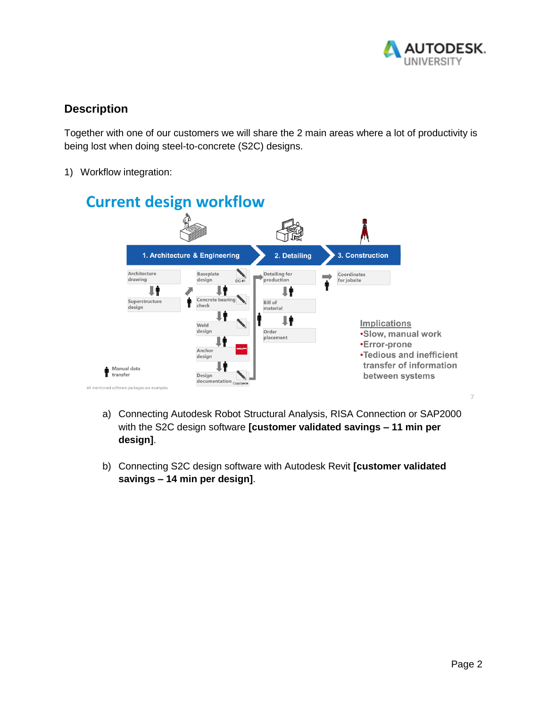

### **Description**

Together with one of our customers we will share the 2 main areas where a lot of productivity is being lost when doing steel-to-concrete (S2C) designs.

1) Workflow integration:



- a) Connecting Autodesk Robot Structural Analysis, RISA Connection or SAP2000 with the S2C design software **[customer validated savings – 11 min per design]**.
- b) Connecting S2C design software with Autodesk Revit **[customer validated savings – 14 min per design]**.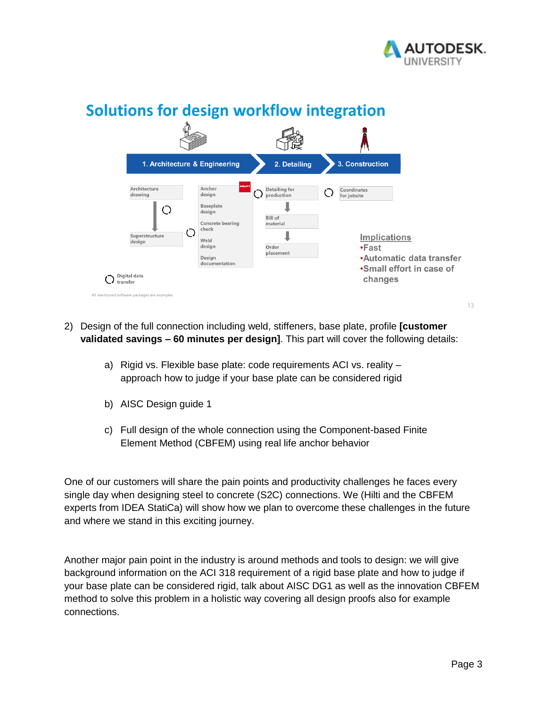



## **Solutions for design workflow integration**

- 2) Design of the full connection including weld, stiffeners, base plate, profile **[customer validated savings – 60 minutes per design]**. This part will cover the following details:
	- a) Rigid vs. Flexible base plate: code requirements ACI vs. reality approach how to judge if your base plate can be considered rigid
	- b) AISC Design guide 1
	- c) Full design of the whole connection using the Component-based Finite Element Method (CBFEM) using real life anchor behavior

One of our customers will share the pain points and productivity challenges he faces every single day when designing steel to concrete (S2C) connections. We (Hilti and the CBFEM experts from IDEA StatiCa) will show how we plan to overcome these challenges in the future and where we stand in this exciting journey.

Another major pain point in the industry is around methods and tools to design: we will give background information on the ACI 318 requirement of a rigid base plate and how to judge if your base plate can be considered rigid, talk about AISC DG1 as well as the innovation CBFEM method to solve this problem in a holistic way covering all design proofs also for example connections.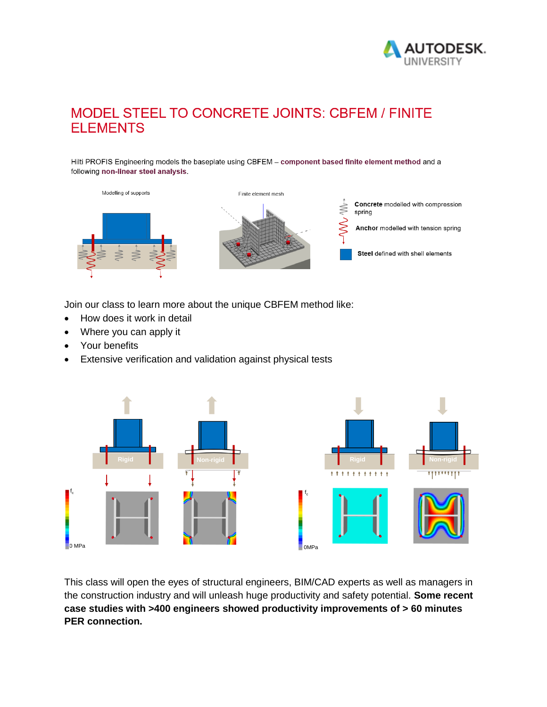

### MODEL STEEL TO CONCRETE JOINTS: CBFEM / FINITE **ELEMENTS**

Hilti PROFIS Engineering models the baseplate using CBFEM - component based finite element method and a following non-linear steel analysis.



Join our class to learn more about the unique CBFEM method like:

- How does it work in detail
- Where you can apply it
- Your benefits
- Extensive verification and validation against physical tests



This class will open the eyes of structural engineers, BIM/CAD experts as well as managers in the construction industry and will unleash huge productivity and safety potential. **Some recent case studies with >400 engineers showed productivity improvements of > 60 minutes PER connection.**